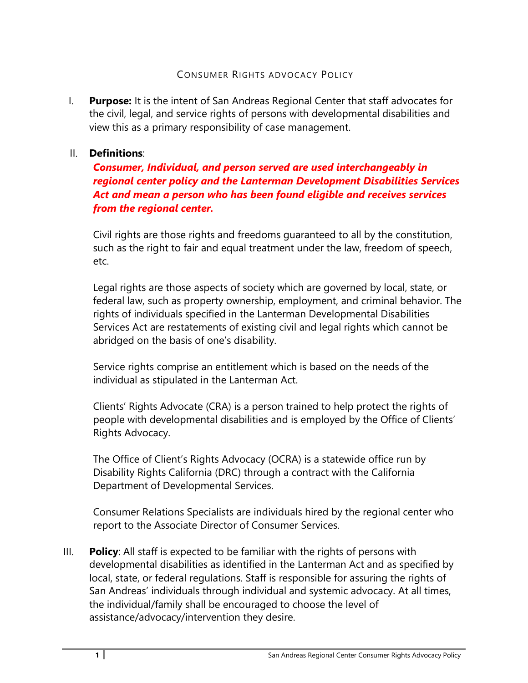## CONSUMER RIGHTS ADVOCACY POLICY

I. **Purpose:** It is the intent of San Andreas Regional Center that staff advocates for the civil, legal, and service rights of persons with developmental disabilities and view this as a primary responsibility of case management.

## II. **Definitions**:

*Consumer, Individual, and person served are used interchangeably in regional center policy and the Lanterman Development Disabilities Services Act and mean a person who has been found eligible and receives services from the regional center.*

Civil rights are those rights and freedoms guaranteed to all by the constitution, such as the right to fair and equal treatment under the law, freedom of speech, etc.

Legal rights are those aspects of society which are governed by local, state, or federal law, such as property ownership, employment, and criminal behavior. The rights of individuals specified in the Lanterman Developmental Disabilities Services Act are restatements of existing civil and legal rights which cannot be abridged on the basis of one's disability.

Service rights comprise an entitlement which is based on the needs of the individual as stipulated in the Lanterman Act.

Clients' Rights Advocate (CRA) is a person trained to help protect the rights of people with developmental disabilities and is employed by the Office of Clients' Rights Advocacy.

The Office of Client's Rights Advocacy (OCRA) is a statewide office run by Disability Rights California (DRC) through a contract with the California Department of Developmental Services.

Consumer Relations Specialists are individuals hired by the regional center who report to the Associate Director of Consumer Services.

III. **Policy**: All staff is expected to be familiar with the rights of persons with developmental disabilities as identified in the Lanterman Act and as specified by local, state, or federal regulations. Staff is responsible for assuring the rights of San Andreas' individuals through individual and systemic advocacy. At all times, the individual/family shall be encouraged to choose the level of assistance/advocacy/intervention they desire.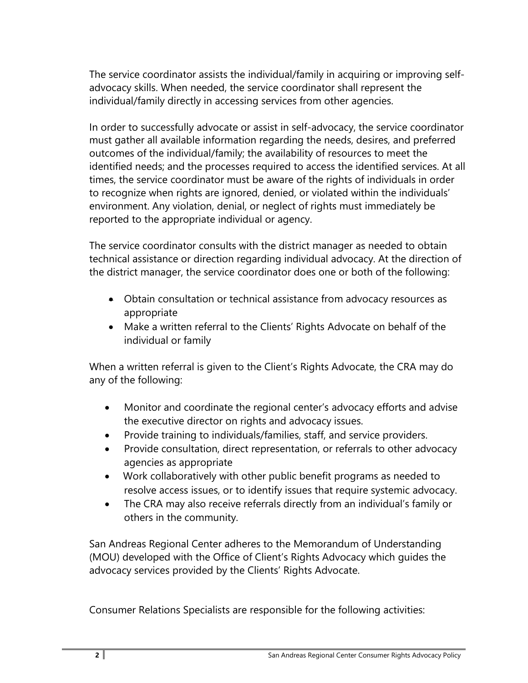The service coordinator assists the individual/family in acquiring or improving selfadvocacy skills. When needed, the service coordinator shall represent the individual/family directly in accessing services from other agencies.

In order to successfully advocate or assist in self-advocacy, the service coordinator must gather all available information regarding the needs, desires, and preferred outcomes of the individual/family; the availability of resources to meet the identified needs; and the processes required to access the identified services. At all times, the service coordinator must be aware of the rights of individuals in order to recognize when rights are ignored, denied, or violated within the individuals' environment. Any violation, denial, or neglect of rights must immediately be reported to the appropriate individual or agency.

The service coordinator consults with the district manager as needed to obtain technical assistance or direction regarding individual advocacy. At the direction of the district manager, the service coordinator does one or both of the following:

- Obtain consultation or technical assistance from advocacy resources as appropriate
- Make a written referral to the Clients' Rights Advocate on behalf of the individual or family

When a written referral is given to the Client's Rights Advocate, the CRA may do any of the following:

- Monitor and coordinate the regional center's advocacy efforts and advise the executive director on rights and advocacy issues.
- Provide training to individuals/families, staff, and service providers.
- Provide consultation, direct representation, or referrals to other advocacy agencies as appropriate
- Work collaboratively with other public benefit programs as needed to resolve access issues, or to identify issues that require systemic advocacy.
- The CRA may also receive referrals directly from an individual's family or others in the community.

San Andreas Regional Center adheres to the Memorandum of Understanding (MOU) developed with the Office of Client's Rights Advocacy which guides the advocacy services provided by the Clients' Rights Advocate.

Consumer Relations Specialists are responsible for the following activities: